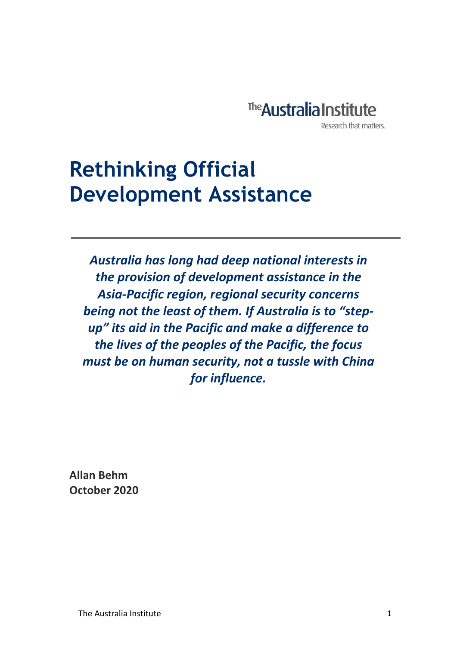

# **Rethinking Official Development Assistance**

*Australia has long had deep national interests in the provision of development assistance in the Asia-Pacific region, regional security concerns being not the least of them. If Australia is to "stepup" its aid in the Pacific and make a difference to the lives of the peoples of the Pacific, the focus must be on human security, not a tussle with China for influence.*

**Allan Behm October 2020**

 $\ddot{\phantom{0}}$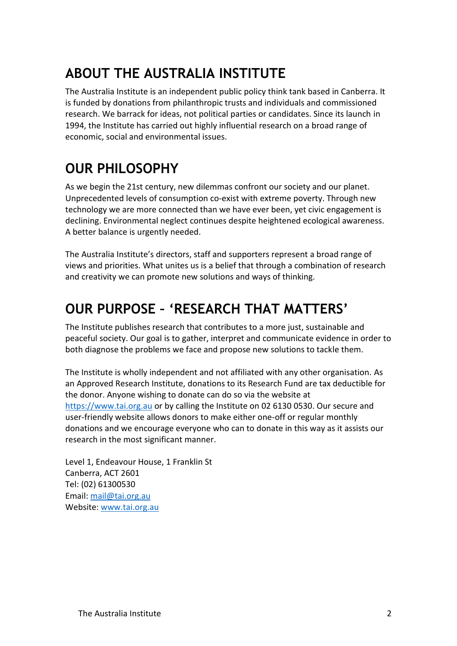## **ABOUT THE AUSTRALIA INSTITUTE**

The Australia Institute is an independent public policy think tank based in Canberra. It is funded by donations from philanthropic trusts and individuals and commissioned research. We barrack for ideas, not political parties or candidates. Since its launch in 1994, the Institute has carried out highly influential research on a broad range of economic, social and environmental issues.

## **OUR PHILOSOPHY**

As we begin the 21st century, new dilemmas confront our society and our planet. Unprecedented levels of consumption co-exist with extreme poverty. Through new technology we are more connected than we have ever been, yet civic engagement is declining. Environmental neglect continues despite heightened ecological awareness. A better balance is urgently needed.

The Australia Institute's directors, staff and supporters represent a broad range of views and priorities. What unites us is a belief that through a combination of research and creativity we can promote new solutions and ways of thinking.

### **OUR PURPOSE – 'RESEARCH THAT MATTERS'**

The Institute publishes research that contributes to a more just, sustainable and peaceful society. Our goal is to gather, interpret and communicate evidence in order to both diagnose the problems we face and propose new solutions to tackle them.

The Institute is wholly independent and not affiliated with any other organisation. As an Approved Research Institute, donations to its Research Fund are tax deductible for the donor. Anyone wishing to donate can do so via the website at [https://www.tai.org.au](https://www.tai.org.au/) or by calling the Institute on 02 6130 0530. Our secure and user-friendly website allows donors to make either one-off or regular monthly donations and we encourage everyone who can to donate in this way as it assists our research in the most significant manner.

Level 1, Endeavour House, 1 Franklin St Canberra, ACT 2601 Tel: (02) 61300530 Email[: mail@tai.org.au](mailto:mail@tai.org.au) Website: [www.tai.org.au](http://www.tai.org.au/)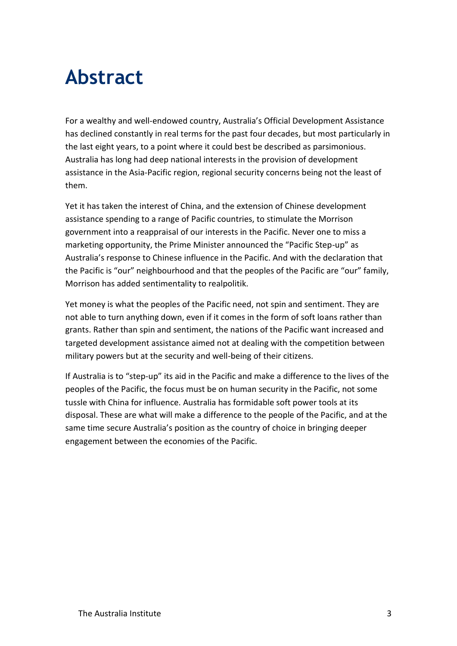# **Abstract**

For a wealthy and well-endowed country, Australia's Official Development Assistance has declined constantly in real terms for the past four decades, but most particularly in the last eight years, to a point where it could best be described as parsimonious. Australia has long had deep national interests in the provision of development assistance in the Asia-Pacific region, regional security concerns being not the least of them.

Yet it has taken the interest of China, and the extension of Chinese development assistance spending to a range of Pacific countries, to stimulate the Morrison government into a reappraisal of our interests in the Pacific. Never one to miss a marketing opportunity, the Prime Minister announced the "Pacific Step-up" as Australia's response to Chinese influence in the Pacific. And with the declaration that the Pacific is "our" neighbourhood and that the peoples of the Pacific are "our" family, Morrison has added sentimentality to realpolitik.

Yet money is what the peoples of the Pacific need, not spin and sentiment. They are not able to turn anything down, even if it comes in the form of soft loans rather than grants. Rather than spin and sentiment, the nations of the Pacific want increased and targeted development assistance aimed not at dealing with the competition between military powers but at the security and well-being of their citizens.

If Australia is to "step-up" its aid in the Pacific and make a difference to the lives of the peoples of the Pacific, the focus must be on human security in the Pacific, not some tussle with China for influence. Australia has formidable soft power tools at its disposal. These are what will make a difference to the people of the Pacific, and at the same time secure Australia's position as the country of choice in bringing deeper engagement between the economies of the Pacific.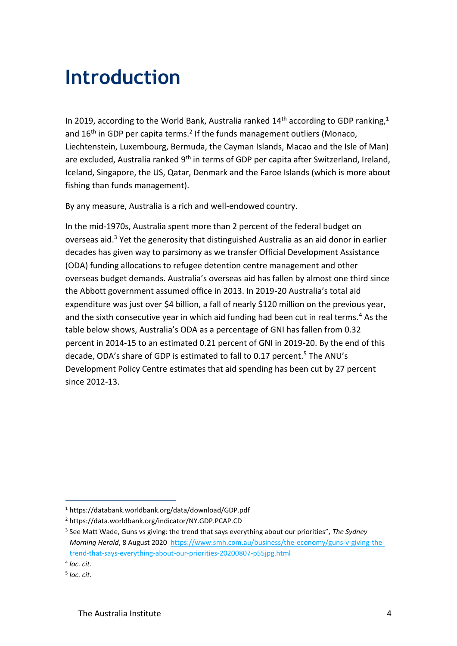## **Introduction**

In 2019, according to the World Bank, Australia ranked  $14<sup>th</sup>$  according to GDP ranking,<sup>1</sup> and  $16<sup>th</sup>$  in GDP per capita terms.<sup>2</sup> If the funds management outliers (Monaco, Liechtenstein, Luxembourg, Bermuda, the Cayman Islands, Macao and the Isle of Man) are excluded, Australia ranked 9<sup>th</sup> in terms of GDP per capita after Switzerland, Ireland, Iceland, Singapore, the US, Qatar, Denmark and the Faroe Islands (which is more about fishing than funds management).

By any measure, Australia is a rich and well-endowed country.

In the mid-1970s, Australia spent more than 2 percent of the federal budget on overseas aid.<sup>3</sup> Yet the generosity that distinguished Australia as an aid donor in earlier decades has given way to parsimony as we transfer Official Development Assistance (ODA) funding allocations to refugee detention centre management and other overseas budget demands. Australia's overseas aid has fallen by almost one third since the Abbott government assumed office in 2013. In 2019-20 Australia's total aid expenditure was just over \$4 billion, a fall of nearly \$120 million on the previous year, and the sixth consecutive year in which aid funding had been cut in real terms.<sup>4</sup> As the table below shows, Australia's ODA as a percentage of GNI has fallen from 0.32 percent in 2014-15 to an estimated 0.21 percent of GNI in 2019-20. By the end of this decade, ODA's share of GDP is estimated to fall to 0.17 percent.<sup>5</sup> The ANU's Development Policy Centre estimates that aid spending has been cut by 27 percent since 2012-13.

<sup>1</sup> https://databank.worldbank.org/data/download/GDP.pdf

<sup>2</sup> https://data.worldbank.org/indicator/NY.GDP.PCAP.CD

<sup>3</sup> See Matt Wade, Guns vs giving: the trend that says everything about our priorities", *The Sydney Morning Herald*, 8 August 2020 [https://www.smh.com.au/business/the-economy/guns-v-giving-the](https://www.smh.com.au/business/the-economy/guns-v-giving-the-trend-that-says-everything-about-our-priorities-20200807-p55jpg.html)[trend-that-says-everything-about-our-priorities-20200807-p55jpg.html](https://www.smh.com.au/business/the-economy/guns-v-giving-the-trend-that-says-everything-about-our-priorities-20200807-p55jpg.html)

<sup>4</sup> *loc. cit.*

<sup>5</sup> *loc. cit.*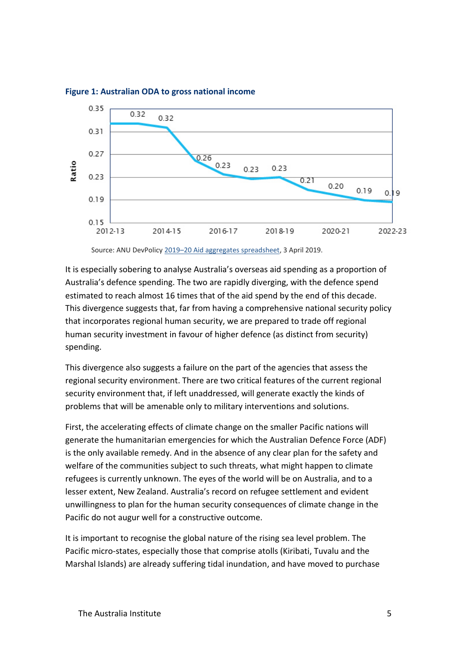

#### **Figure 1: Australian ODA to gross national income**

Source: ANU DevPolicy 2019–[20 Aid aggregates spreadsheet,](http://devpolicy.org/excel/2019-20_Aidaggregates_3Apr2019.xlsx) 3 April 2019.

It is especially sobering to analyse Australia's overseas aid spending as a proportion of Australia's defence spending. The two are rapidly diverging, with the defence spend estimated to reach almost 16 times that of the aid spend by the end of this decade. This divergence suggests that, far from having a comprehensive national security policy that incorporates regional human security, we are prepared to trade off regional human security investment in favour of higher defence (as distinct from security) spending.

This divergence also suggests a failure on the part of the agencies that assess the regional security environment. There are two critical features of the current regional security environment that, if left unaddressed, will generate exactly the kinds of problems that will be amenable only to military interventions and solutions.

First, the accelerating effects of climate change on the smaller Pacific nations will generate the humanitarian emergencies for which the Australian Defence Force (ADF) is the only available remedy. And in the absence of any clear plan for the safety and welfare of the communities subject to such threats, what might happen to climate refugees is currently unknown. The eyes of the world will be on Australia, and to a lesser extent, New Zealand. Australia's record on refugee settlement and evident unwillingness to plan for the human security consequences of climate change in the Pacific do not augur well for a constructive outcome.

It is important to recognise the global nature of the rising sea level problem. The Pacific micro-states, especially those that comprise atolls (Kiribati, Tuvalu and the Marshal Islands) are already suffering tidal inundation, and have moved to purchase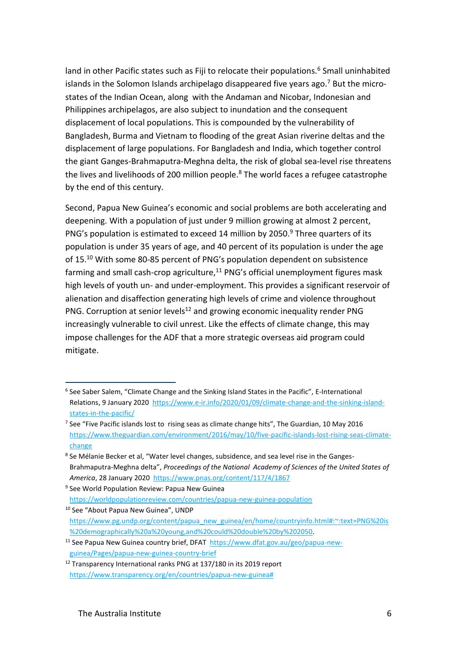land in other Pacific states such as Fiji to relocate their populations.<sup>6</sup> Small uninhabited islands in the Solomon Islands archipelago disappeared five years ago.<sup>7</sup> But the microstates of the Indian Ocean, along with the Andaman and Nicobar, Indonesian and Philippines archipelagos, are also subject to inundation and the consequent displacement of local populations. This is compounded by the vulnerability of Bangladesh, Burma and Vietnam to flooding of the great Asian riverine deltas and the displacement of large populations. For Bangladesh and India, which together control the giant Ganges-Brahmaputra-Meghna delta, the risk of global sea-level rise threatens the lives and livelihoods of 200 million people. $8$  The world faces a refugee catastrophe by the end of this century.

Second, Papua New Guinea's economic and social problems are both accelerating and deepening. With a population of just under 9 million growing at almost 2 percent, PNG's population is estimated to exceed 14 million by 2050.<sup>9</sup> Three quarters of its population is under 35 years of age, and 40 percent of its population is under the age of 15.<sup>10</sup> With some 80-85 percent of PNG's population dependent on subsistence farming and small cash-crop agriculture, $11$  PNG's official unemployment figures mask high levels of youth un- and under-employment. This provides a significant reservoir of alienation and disaffection generating high levels of crime and violence throughout PNG. Corruption at senior levels<sup>12</sup> and growing economic inequality render PNG increasingly vulnerable to civil unrest. Like the effects of climate change, this may impose challenges for the ADF that a more strategic overseas aid program could mitigate.

<sup>&</sup>lt;sup>6</sup> See Saber Salem, "Climate Change and the Sinking Island States in the Pacific", E-International Relations, 9 January 2020 [https://www.e-ir.info/2020/01/09/climate-change-and-the-sinking-island](https://www.e-ir.info/2020/01/09/climate-change-and-the-sinking-island-states-in-the-pacific/)[states-in-the-pacific/](https://www.e-ir.info/2020/01/09/climate-change-and-the-sinking-island-states-in-the-pacific/)

<sup>&</sup>lt;sup>7</sup> See "Five Pacific islands lost to rising seas as climate change hits", The Guardian, 10 May 2016 [https://www.theguardian.com/environment/2016/may/10/five-pacific-islands-lost-rising-seas-climate](https://www.theguardian.com/environment/2016/may/10/five-pacific-islands-lost-rising-seas-climate-change)[change](https://www.theguardian.com/environment/2016/may/10/five-pacific-islands-lost-rising-seas-climate-change)

<sup>&</sup>lt;sup>8</sup> Se Mélanie Becker et al, "Water level changes, subsidence, and sea level rise in the Ganges-Brahmaputra-Meghna delta", *Proceedings of the National Academy of Sciences of the United States of America*, 28 January 2020<https://www.pnas.org/content/117/4/1867>

<sup>&</sup>lt;sup>9</sup> See World Population Review: Papua New Guinea <https://worldpopulationreview.com/countries/papua-new-guinea-population>

<sup>&</sup>lt;sup>10</sup> See "About Papua New Guinea", UNDP [https://www.pg.undp.org/content/papua\\_new\\_guinea/en/home/countryinfo.html#:~:text=PNG%20is](https://www.pg.undp.org/content/papua_new_guinea/en/home/countryinfo.html#:~:text=PNG%20is%20demographically%20a%20young,and%20could%20double%20by%202050) [%20demographically%20a%20young,and%20could%20double%20by%202050.](https://www.pg.undp.org/content/papua_new_guinea/en/home/countryinfo.html#:~:text=PNG%20is%20demographically%20a%20young,and%20could%20double%20by%202050)

<sup>&</sup>lt;sup>11</sup> See Papua New Guinea country brief, DFAT [https://www.dfat.gov.au/geo/papua-new](https://www.dfat.gov.au/geo/papua-new-guinea/Pages/papua-new-guinea-country-brief)[guinea/Pages/papua-new-guinea-country-brief](https://www.dfat.gov.au/geo/papua-new-guinea/Pages/papua-new-guinea-country-brief)

<sup>&</sup>lt;sup>12</sup> Transparency International ranks PNG at 137/180 in its 2019 report [https://www.transparency.org/en/countries/papua-new-guinea#](https://www.transparency.org/en/countries/papua-new-guinea)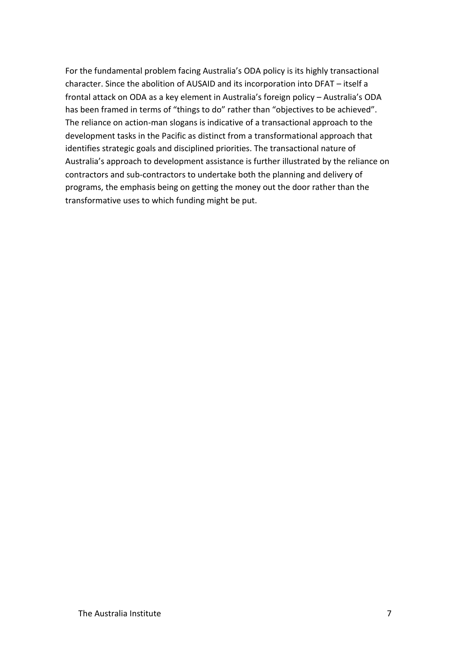For the fundamental problem facing Australia's ODA policy is its highly transactional character. Since the abolition of AUSAID and its incorporation into DFAT – itself a frontal attack on ODA as a key element in Australia's foreign policy – Australia's ODA has been framed in terms of "things to do" rather than "objectives to be achieved". The reliance on action-man slogans is indicative of a transactional approach to the development tasks in the Pacific as distinct from a transformational approach that identifies strategic goals and disciplined priorities. The transactional nature of Australia's approach to development assistance is further illustrated by the reliance on contractors and sub-contractors to undertake both the planning and delivery of programs, the emphasis being on getting the money out the door rather than the transformative uses to which funding might be put.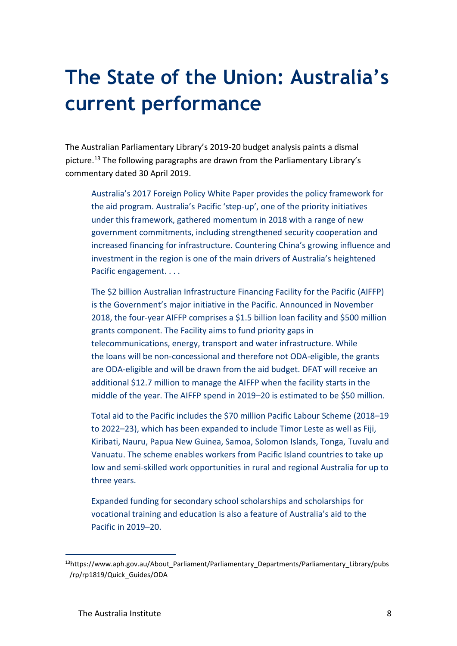# **The State of the Union: Australia's current performance**

The Australian Parliamentary Library's 2019-20 budget analysis paints a dismal picture.<sup>13</sup> The following paragraphs are drawn from the Parliamentary Library's commentary dated 30 April 2019.

Australia's [2017 Foreign Policy White Paper](https://www.fpwhitepaper.gov.au/) provides the policy framework for the aid program. Australia's Pacific 'step-up', one of the priority initiatives under this framework, gathered momentum in 2018 with a range of new government commitments, including [strengthened security cooperation and](file://///home4/lib00020/AAStaff/ANGELA%20CLARE/Budget%20briefing/â¢%09https:/foreignminister.gov.au/releases/Pages/2018/mp_mr_181108.aspx%3fw=E6pq/UhzOs+E7V9FFYi1xQ==)  [increased financing for infrastructure](file://///home4/lib00020/AAStaff/ANGELA%20CLARE/Budget%20briefing/â¢%09https:/foreignminister.gov.au/releases/Pages/2018/mp_mr_181108.aspx%3fw=E6pq/UhzOs+E7V9FFYi1xQ==). Countering China's growing influence and investment in the region [is one of the main drivers of Australia's heightened](https://www.lowyinstitute.org/the-interpreter/keep-calm-and-step-white-paper-message-pacific)  [Pacific engagement.](https://www.lowyinstitute.org/the-interpreter/keep-calm-and-step-white-paper-message-pacific) . . .

The [\\$2 billion Australian Infrastructure Financing Facility for the Pacific](https://dfat.gov.au/geo/pacific/development-assistance/Pages/australian-infrastructure-financing-facility-for-the-pacific.aspx) (AIFFP) is the Government's major initiative in the Pacific. Announced in November 2018, the four-year AIFFP comprises a \$1.5 billion loan facility and \$500 million grants component. The Facility aims to fund priority gaps in telecommunications, energy, transport and water infrastructure. While the [loans will be non-concessional](https://www.aph.gov.au/Parliamentary_Business/Committees/Senate/Foreign_Affairs_Defence_and_Trade/EficBill2019/Report/section?id=committees%2Freportsen%2F024274%2F27240) and therefore not ODA-eligible, the grants are ODA-eligible and will be drawn from the aid budget. DFAT will receive [an](https://foreignminister.gov.au/releases/Pages/2019/mp_mr_190402.aspx)  [additional \\$12.7 million](https://foreignminister.gov.au/releases/Pages/2019/mp_mr_190402.aspx) to manage the AIFFP when the facility starts in the middle of the year. The AIFFP spend in 2019–20 is estimated to be \$50 million.

Total aid to the Pacific includes [the \\$70 million Pacific Labour Scheme](https://foreignminister.gov.au/releases/Pages/2018/mp_mr_181115.aspx?w=E6pq%2FUhzOs%2BE7V9FFYi1xQ%3D%3D) (2018–19 to 2022–23), which has been expanded to include [Timor Leste](https://foreignminister.gov.au/releases/Pages/2018/mp_mr_181120.aspx?w=E6pq%2FUhzOs%2BE7V9FFYi1xQ%3D%3D) as well as Fiji, Kiribati, Nauru, Papua New Guinea, Samoa, Solomon Islands, Tonga, Tuvalu and Vanuatu. The scheme enables workers from Pacific Island countries to take up low and semi-skilled work opportunities in rural and regional Australia for up to three years.

Expanded funding for secondary school scholarships and scholarships for vocational training and education is also a feature of Australia's aid to the Pacific in 2019–20.

<sup>13</sup>https://www.aph.gov.au/About Parliament/Parliamentary\_Departments/Parliamentary\_Library/pubs /rp/rp1819/Quick\_Guides/ODA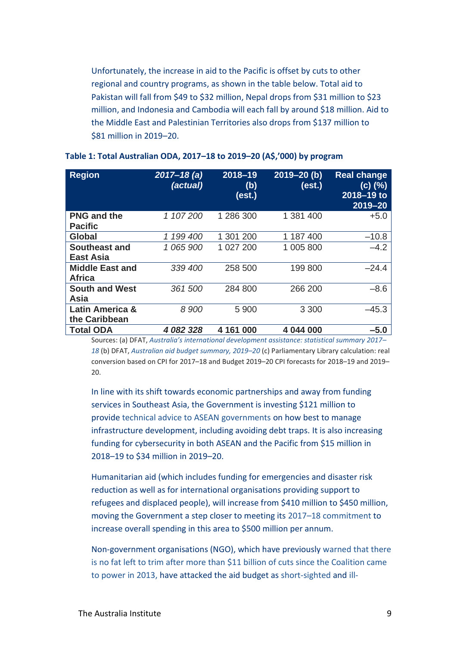Unfortunately, the increase in aid to the Pacific is offset by [cuts to other](https://dfat.gov.au/about-us/corporate/portfolio-budget-statements/Documents/2019-20-australian-aid-budget-summary.pdf)  [regional and country programs,](https://dfat.gov.au/about-us/corporate/portfolio-budget-statements/Documents/2019-20-australian-aid-budget-summary.pdf) as shown in the table below. Total aid to Pakistan will fall from \$49 to \$32 million, Nepal drops from \$31 million to \$23 million, and Indonesia and Cambodia will each fall by around \$18 million. Aid to the Middle East and Palestinian Territories also drops from \$137 million to \$81 million in 2019–20.

| <b>Region</b>                           | $2017 - 18$ (a)<br>(actual) | 2018-19<br>(b)<br>(est.) | $2019 - 20$ (b)<br>(est.) | <b>Real change</b><br>(c) (%)<br>2018-19 to<br>2019-20 |
|-----------------------------------------|-----------------------------|--------------------------|---------------------------|--------------------------------------------------------|
| <b>PNG and the</b><br><b>Pacific</b>    | 1 107 200                   | 1 286 300                | 1 381 400                 | $+5.0$                                                 |
| Global                                  | 199 400<br>1                | 1 301 200                | 1 187 400                 | $-10.8$                                                |
| Southeast and<br><b>East Asia</b>       | 1 065 900                   | 1 027 200                | 1 005 800                 | $-4.2$                                                 |
| <b>Middle East and</b><br><b>Africa</b> | 339 400                     | 258 500                  | 199 800                   | $-24.4$                                                |
| <b>South and West</b><br>Asia           | 361 500                     | 284 800                  | 266 200                   | $-8.6$                                                 |
| Latin America &<br>the Caribbean        | 8 900                       | 5 900                    | 3 3 0 0                   | $-45.3$                                                |
| <b>Total ODA</b>                        | 4 082 328                   | 4 161 000                | 4 044 000                 | $-5.0$                                                 |

#### **Table 1: Total Australian ODA, 2017–18 to 2019–20 (A\$,'000) by program**

Sources: (a) DFAT, *[Australia's international development assistance: statistical summary 2017–](https://dfat.gov.au/about-us/publications/aid/statistical-summary-time-series-data/Pages/australias-official-development-assistance-statistical-summary-2017-18.aspx) [18](https://dfat.gov.au/about-us/publications/aid/statistical-summary-time-series-data/Pages/australias-official-development-assistance-statistical-summary-2017-18.aspx)* (b) DFAT, *[Australian aid budget summary, 2019](https://dfat.gov.au/about-us/corporate/portfolio-budget-statements/Documents/2019-20-australian-aid-budget-summary.pdf)–20* (c) Parliamentary Library calculation: real conversion based on CPI for 2017–18 and Budget 2019–20 CPI forecasts for 2018–19 and 2019– 20.

In line with its shift towards economic partnerships and away from funding services in Southeast Asia, the Government is investing \$121 million to provide [technical advice to ASEAN governments](https://foreignminister.gov.au/releases/Pages/2019/mp_mr_190402.aspx) on how best to manage infrastructure development, including avoiding debt traps. It is also increasing funding for cybersecurity in both ASEAN and the Pacific from \$15 million in 2018–19 to \$34 million in 2019–20.

Humanitarian aid (which includes funding for emergencies and disaster risk reduction as well as for international organisations providing support to refugees and displaced people), will increase from \$410 million to \$450 million, moving the Government a step closer to meeting its 2017–[18 commitment](https://dfat.gov.au/about-us/corporate/portfolio-budget-statements/Documents/2018-19-australian-aid-budget-summary.pdf) to increase overall spending in this area to \$500 million per annum.

Non-government organisations (NGO), which have previously [warned that there](https://www.theguardian.com/world/2019/feb/22/weakened-aid-budget-may-be-used-to-fund-2bn-pacific-island-infrastructure-bank)  [is no fat left to trim after more than \\$11 billion of cuts since the Coalition came](https://www.theguardian.com/world/2019/feb/22/weakened-aid-budget-may-be-used-to-fund-2bn-pacific-island-infrastructure-bank)  [to power in 2013,](https://www.theguardian.com/world/2019/feb/22/weakened-aid-budget-may-be-used-to-fund-2bn-pacific-island-infrastructure-bank) have attacked the aid budget as [short-sighted](https://acfid.asn.au/media-releases/aid-cuts-signal-strategic-blackhole) and [ill-](https://www.oxfam.org.au/media/2019/04/budget-blind-to-dual-crises-of-inequality-and-climate-change/)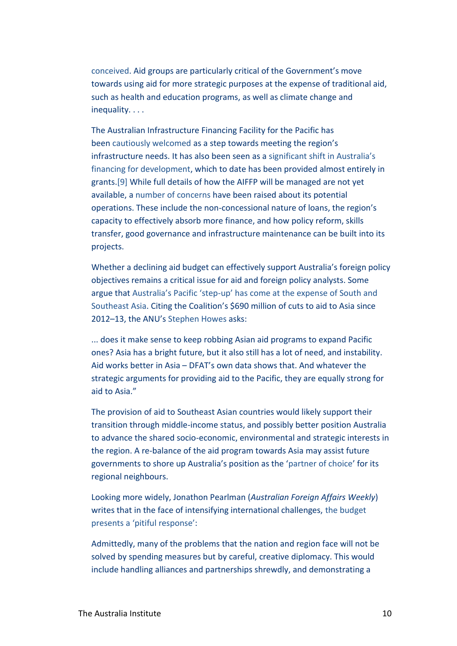[conceived.](https://www.oxfam.org.au/media/2019/04/budget-blind-to-dual-crises-of-inequality-and-climate-change/) Aid groups are particularly critical of the Government's move towards using aid for more strategic purposes at the expense of traditional aid, such as health and education programs, as well as climate change and inequality. . . .

The Australian Infrastructure Financing Facility for the Pacific has been [cautiously welcomed](https://www.lowyinstitute.org/the-interpreter/labor-ambitions-pacific) as a step towards meeting the region's infrastructure needs. It has also been seen as a [significant shift in Australia's](https://apo.org.au/sites/default/files/resource-files/2019/02/apo-nid224496-1337766.pdf)  [financing for development,](https://apo.org.au/sites/default/files/resource-files/2019/02/apo-nid224496-1337766.pdf) which to date has been provided almost entirely in grants[.\[9\]](https://www.aph.gov.au/About_Parliament/Parliamentary_Departments/Parliamentary_Library/pubs/rp/rp1819/Quick_Guides/ODA#_ftn9) While full details of how the AIFFP will be managed are not yet available, a [number of concerns](https://apo.org.au/sites/default/files/resource-files/2019/02/apo-nid224496-1337766.pdf) have been raised about its potential operations. These include the non-concessional nature of loans, the region's capacity to effectively absorb more finance, and how policy reform, skills transfer, good governance and infrastructure maintenance can be built into its projects.

Whether a declining aid budget can effectively support Australia's foreign policy objectives remains a critical issue for aid and foreign policy analysts. Some argue that Australia's Pacific 'step-[up' has come at the expense of South and](https://www.lowyinstitute.org/the-interpreter/economic-diplomacy-trade-and-traps-asean)  [Southeast Asia](https://www.lowyinstitute.org/the-interpreter/economic-diplomacy-trade-and-traps-asean). Citing the Coalition's \$690 million of cuts to aid to Asia since 2012–13, the ANU's [Stephen Howes](http://www.devpolicy.org/incoherent-aid-budget-20190403/) asks:

... does it make sense to keep robbing Asian aid programs to expand Pacific ones? Asia has a bright future, but it also still has a lot of need, and instability. Aid works better in Asia – DFAT's own data shows that. And whatever the strategic arguments for providing aid to the Pacific, they are equally strong for aid to Asia.["](https://www.aph.gov.au/About_Parliament/Parliamentary_Departments/Parliamentary_Library/pubs/rp/rp1819/Quick_Guides/ODA#_ftn10)

The provision of aid to Southeast Asian countries would likely support their transition through middle-income status, and possibly better position Australia to advance the shared socio-economic, environmental and strategic interests in the region. A re-balance of the aid program towards Asia may assist future governments to shore up Australia's position as the '[partner of choice](https://www.abc.net.au/radio/programs/am/julie-bishop-visits-sth-pacific-to-push-against-asian-investment/9574996)' for its regional neighbours.

Looking more widely, Jonathon Pearlman (*Australian Foreign Affairs Weekly*) writes that in the face of intensifying international challenges, [the budget](https://www.australianforeignaffairs.com/afaweekly/the-budgets-pitiful-response?utm_medium=email&utm_campaign=AFA%20Weekly%203%20April&utm_content=AFA%20Weekly%203%20April+CID_19246d0a983154b89d23b778ce5db41d&utm_source=EDM&utm_term=CONTINUE%20READING)  presents a ['pitiful response'](https://www.australianforeignaffairs.com/afaweekly/the-budgets-pitiful-response?utm_medium=email&utm_campaign=AFA%20Weekly%203%20April&utm_content=AFA%20Weekly%203%20April+CID_19246d0a983154b89d23b778ce5db41d&utm_source=EDM&utm_term=CONTINUE%20READING):

Admittedly, many of the problems that the nation and region face will not be solved by spending measures but by careful, creative diplomacy. This would include handling alliances and partnerships shrewdly, and demonstrating a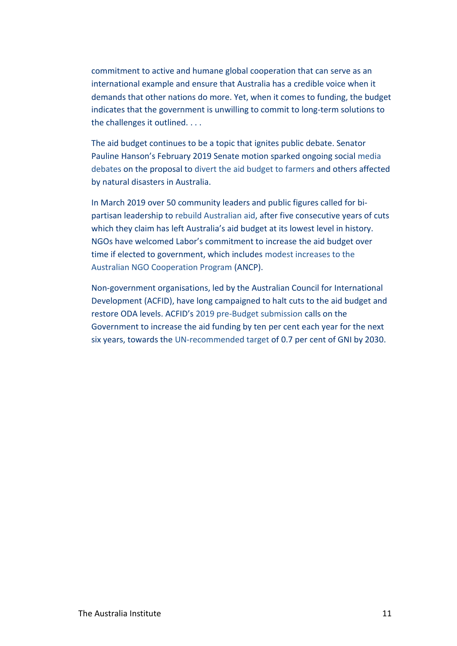commitment to active and humane global cooperation that can serve as an international example and ensure that Australia has a credible voice when it demands that other nations do more. Yet, when it comes to funding, the budget indicates that the government is unwilling to commit to long-term solutions to the challenges it outlined. . . .

The aid budget continues to be a topic that ignites public debate. Senator Pauline Hanson's February 2019 Senate motion sparked ongoing social [media](https://www.abc.net.au/news/rural/2019-02-15/foreign-aid-under-fire-on-social-media-during-drought/10810436)  [debates](https://www.abc.net.au/news/rural/2019-02-15/foreign-aid-under-fire-on-social-media-during-drought/10810436) on the proposal to [divert the aid budget to farmers](https://www.abc.net.au/news/rural/2019-02-15/foreign-aid-under-fire-on-social-media-during-drought/10810436) and others affected by natural disasters in Australia.

In March 2019 over 50 community leaders and public figures called for bipartisan leadership to [rebuild Australian aid,](https://parlinfo.aph.gov.au/parlInfo/search/display/display.w3p;query=Id%3A%22media%2Fpressrel%2F6641402%22) after five consecutive years of cuts which they claim has left Australia's aid budget at its lowest level in history. NGOs have welcomed Labor's commitment to increase the aid budget over time if elected to government, which includes [modest increases to the](https://parlinfo.aph.gov.au/parlInfo/download/media/pressrel/6552351/upload_binary/6552351.pdf;fileType=application%2Fpdf#search=%22Penny%20Wong%20aid%20budget%22)  [Australian NGO Cooperation Program](https://parlinfo.aph.gov.au/parlInfo/download/media/pressrel/6552351/upload_binary/6552351.pdf;fileType=application%2Fpdf#search=%22Penny%20Wong%20aid%20budget%22) (ANCP).

Non-government organisations, led by the Australian Council for International Development (ACFID), have long campaigned to halt cuts to the aid budget and restore ODA levels. ACFID's [2019 pre-Budget submission](https://acfid.asn.au/sites/site.acfid/files/ACFID%20Pre-Budget%20Submission%202019-20.pdf) calls on the Government to increase the aid funding by ten per cent each year for the next six years, towards the [UN-recommended target](http://www.oecd.org/dac/stats/the07odagnitarget-ahistory.htm) of 0.7 per cent of GNI by 2030.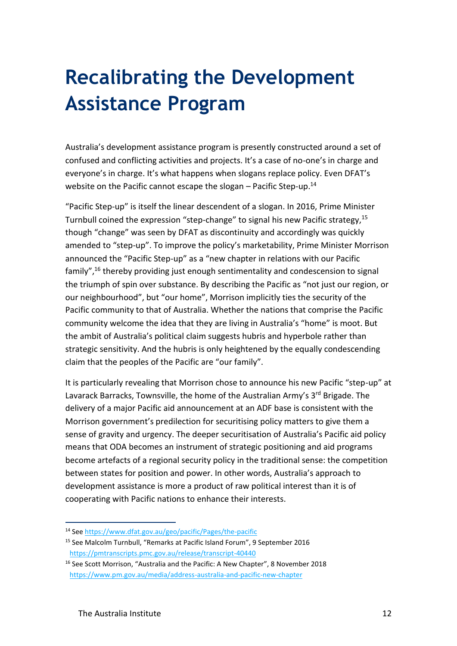# **Recalibrating the Development Assistance Program**

Australia's development assistance program is presently constructed around a set of confused and conflicting activities and projects. It's a case of no-one's in charge and everyone's in charge. It's what happens when slogans replace policy. Even DFAT's website on the Pacific cannot escape the slogan  $-$  Pacific Step-up.<sup>14</sup>

"Pacific Step-up" is itself the linear descendent of a slogan. In 2016, Prime Minister Turnbull coined the expression "step-change" to signal his new Pacific strategy,<sup>15</sup> though "change" was seen by DFAT as discontinuity and accordingly was quickly amended to "step-up". To improve the policy's marketability, Prime Minister Morrison announced the "Pacific Step-up" as a "new chapter in relations with our Pacific family",<sup>16</sup> thereby providing just enough sentimentality and condescension to signal the triumph of spin over substance. By describing the Pacific as "not just our region, or our neighbourhood", but "our home", Morrison implicitly ties the security of the Pacific community to that of Australia. Whether the nations that comprise the Pacific community welcome the idea that they are living in Australia's "home" is moot. But the ambit of Australia's political claim suggests hubris and hyperbole rather than strategic sensitivity. And the hubris is only heightened by the equally condescending claim that the peoples of the Pacific are "our family".

It is particularly revealing that Morrison chose to announce his new Pacific "step-up" at Lavarack Barracks, Townsville, the home of the Australian Army's 3<sup>rd</sup> Brigade. The delivery of a major Pacific aid announcement at an ADF base is consistent with the Morrison government's predilection for securitising policy matters to give them a sense of gravity and urgency. The deeper securitisation of Australia's Pacific aid policy means that ODA becomes an instrument of strategic positioning and aid programs become artefacts of a regional security policy in the traditional sense: the competition between states for position and power. In other words, Australia's approach to development assistance is more a product of raw political interest than it is of cooperating with Pacific nations to enhance their interests.

<sup>14</sup> Se[e https://www.dfat.gov.au/geo/pacific/Pages/the-pacific](https://www.dfat.gov.au/geo/pacific/Pages/the-pacific)

<sup>15</sup> See Malcolm Turnbull, "Remarks at Pacific Island Forum", 9 September 2016 <https://pmtranscripts.pmc.gov.au/release/transcript-40440>

<sup>&</sup>lt;sup>16</sup> See Scott Morrison, "Australia and the Pacific: A New Chapter", 8 November 2018 <https://www.pm.gov.au/media/address-australia-and-pacific-new-chapter>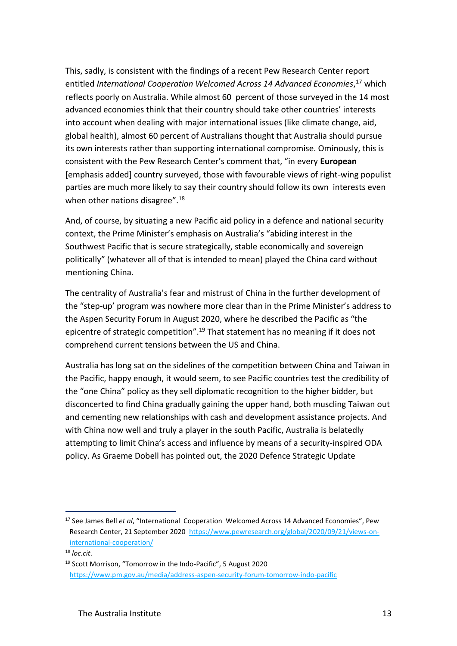This, sadly, is consistent with the findings of a recent Pew Research Center report entitled *International Cooperation Welcomed Across 14 Advanced Economies*, <sup>17</sup> which reflects poorly on Australia. While almost 60 percent of those surveyed in the 14 most advanced economies think that their country should take other countries' interests into account when dealing with major international issues (like climate change, aid, global health), almost 60 percent of Australians thought that Australia should pursue its own interests rather than supporting international compromise. Ominously, this is consistent with the Pew Research Center's comment that, "in every **European** [emphasis added] country surveyed, those with favourable views of right-wing populist parties are much more likely to say their country should follow its own interests even when other nations disagree".<sup>18</sup>

And, of course, by situating a new Pacific aid policy in a defence and national security context, the Prime Minister's emphasis on Australia's "abiding interest in the Southwest Pacific that is secure strategically, stable economically and sovereign politically" (whatever all of that is intended to mean) played the China card without mentioning China.

The centrality of Australia's fear and mistrust of China in the further development of the "step-up' program was nowhere more clear than in the Prime Minister's address to the Aspen Security Forum in August 2020, where he described the Pacific as "the epicentre of strategic competition".<sup>19</sup> That statement has no meaning if it does not comprehend current tensions between the US and China.

Australia has long sat on the sidelines of the competition between China and Taiwan in the Pacific, happy enough, it would seem, to see Pacific countries test the credibility of the "one China" policy as they sell diplomatic recognition to the higher bidder, but disconcerted to find China gradually gaining the upper hand, both muscling Taiwan out and cementing new relationships with cash and development assistance projects. And with China now well and truly a player in the south Pacific, Australia is belatedly attempting to limit China's access and influence by means of a security-inspired ODA policy. As Graeme Dobell has pointed out, the 2020 Defence Strategic Update

<sup>17</sup> See James Bell *et al*, "International Cooperation Welcomed Across 14 Advanced Economies", Pew Research Center, 21 September 2020 [https://www.pewresearch.org/global/2020/09/21/views-on](https://www.pewresearch.org/global/2020/09/21/views-on-international-cooperation/)[international-cooperation/](https://www.pewresearch.org/global/2020/09/21/views-on-international-cooperation/)

<sup>18</sup> *loc.cit*.

<sup>&</sup>lt;sup>19</sup> Scott Morrison, "Tomorrow in the Indo-Pacific", 5 August 2020 <https://www.pm.gov.au/media/address-aspen-security-forum-tomorrow-indo-pacific>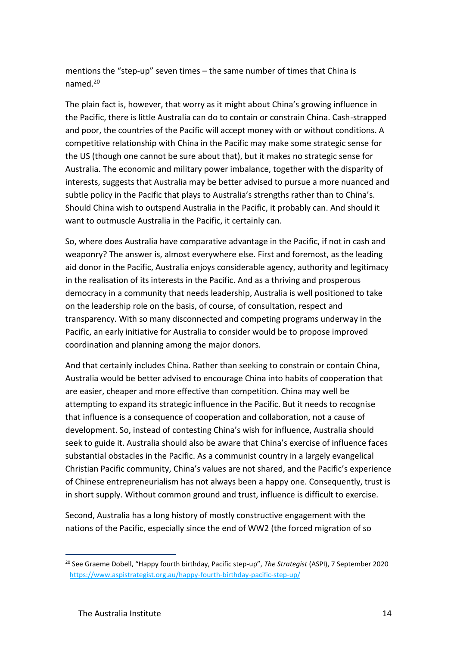mentions the "step-up" seven times – the same number of times that China is named.<sup>20</sup>

The plain fact is, however, that worry as it might about China's growing influence in the Pacific, there is little Australia can do to contain or constrain China. Cash-strapped and poor, the countries of the Pacific will accept money with or without conditions. A competitive relationship with China in the Pacific may make some strategic sense for the US (though one cannot be sure about that), but it makes no strategic sense for Australia. The economic and military power imbalance, together with the disparity of interests, suggests that Australia may be better advised to pursue a more nuanced and subtle policy in the Pacific that plays to Australia's strengths rather than to China's. Should China wish to outspend Australia in the Pacific, it probably can. And should it want to outmuscle Australia in the Pacific, it certainly can.

So, where does Australia have comparative advantage in the Pacific, if not in cash and weaponry? The answer is, almost everywhere else. First and foremost, as the leading aid donor in the Pacific, Australia enjoys considerable agency, authority and legitimacy in the realisation of its interests in the Pacific. And as a thriving and prosperous democracy in a community that needs leadership, Australia is well positioned to take on the leadership role on the basis, of course, of consultation, respect and transparency. With so many disconnected and competing programs underway in the Pacific, an early initiative for Australia to consider would be to propose improved coordination and planning among the major donors.

And that certainly includes China. Rather than seeking to constrain or contain China, Australia would be better advised to encourage China into habits of cooperation that are easier, cheaper and more effective than competition. China may well be attempting to expand its strategic influence in the Pacific. But it needs to recognise that influence is a consequence of cooperation and collaboration, not a cause of development. So, instead of contesting China's wish for influence, Australia should seek to guide it. Australia should also be aware that China's exercise of influence faces substantial obstacles in the Pacific. As a communist country in a largely evangelical Christian Pacific community, China's values are not shared, and the Pacific's experience of Chinese entrepreneurialism has not always been a happy one. Consequently, trust is in short supply. Without common ground and trust, influence is difficult to exercise.

Second, Australia has a long history of mostly constructive engagement with the nations of the Pacific, especially since the end of WW2 (the forced migration of so

<sup>20</sup> See Graeme Dobell, "Happy fourth birthday, Pacific step-up", *The Strategist* (ASPI), 7 September 2020 <https://www.aspistrategist.org.au/happy-fourth-birthday-pacific-step-up/>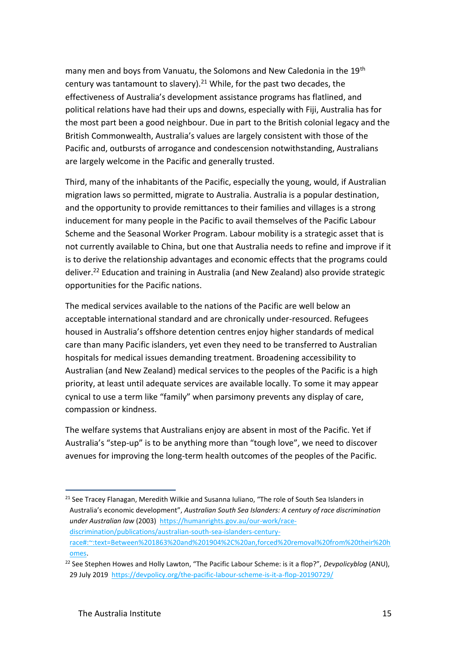many men and boys from Vanuatu, the Solomons and New Caledonia in the 19<sup>th</sup> century was tantamount to slavery). $21$  While, for the past two decades, the effectiveness of Australia's development assistance programs has flatlined, and political relations have had their ups and downs, especially with Fiji, Australia has for the most part been a good neighbour. Due in part to the British colonial legacy and the British Commonwealth, Australia's values are largely consistent with those of the Pacific and, outbursts of arrogance and condescension notwithstanding, Australians are largely welcome in the Pacific and generally trusted.

Third, many of the inhabitants of the Pacific, especially the young, would, if Australian migration laws so permitted, migrate to Australia. Australia is a popular destination, and the opportunity to provide remittances to their families and villages is a strong inducement for many people in the Pacific to avail themselves of the Pacific Labour Scheme and the Seasonal Worker Program. Labour mobility is a strategic asset that is not currently available to China, but one that Australia needs to refine and improve if it is to derive the relationship advantages and economic effects that the programs could deliver.<sup>22</sup> Education and training in Australia (and New Zealand) also provide strategic opportunities for the Pacific nations.

The medical services available to the nations of the Pacific are well below an acceptable international standard and are chronically under-resourced. Refugees housed in Australia's offshore detention centres enjoy higher standards of medical care than many Pacific islanders, yet even they need to be transferred to Australian hospitals for medical issues demanding treatment. Broadening accessibility to Australian (and New Zealand) medical services to the peoples of the Pacific is a high priority, at least until adequate services are available locally. To some it may appear cynical to use a term like "family" when parsimony prevents any display of care, compassion or kindness.

The welfare systems that Australians enjoy are absent in most of the Pacific. Yet if Australia's "step-up" is to be anything more than "tough love", we need to discover avenues for improving the long-term health outcomes of the peoples of the Pacific.

<sup>&</sup>lt;sup>21</sup> See Tracey Flanagan, Meredith Wilkie and Susanna Iuliano, "The role of South Sea Islanders in Australia's economic development", *Australian South Sea Islanders: A century of race discrimination under Australian law* (2003) [https://humanrights.gov.au/our-work/race](https://humanrights.gov.au/our-work/race-discrimination/publications/australian-south-sea-islanders-century-race#:~:text=Between%201863%20and%201904%2C%20an,forced%20removal%20from%20their%20homes)[discrimination/publications/australian-south-sea-islanders-century](https://humanrights.gov.au/our-work/race-discrimination/publications/australian-south-sea-islanders-century-race#:~:text=Between%201863%20and%201904%2C%20an,forced%20removal%20from%20their%20homes)[race#:~:text=Between%201863%20and%201904%2C%20an,forced%20removal%20from%20their%20h](https://humanrights.gov.au/our-work/race-discrimination/publications/australian-south-sea-islanders-century-race#:~:text=Between%201863%20and%201904%2C%20an,forced%20removal%20from%20their%20homes) [omes.](https://humanrights.gov.au/our-work/race-discrimination/publications/australian-south-sea-islanders-century-race#:~:text=Between%201863%20and%201904%2C%20an,forced%20removal%20from%20their%20homes)

<sup>22</sup> See Stephen Howes and Holly Lawton, "The Pacific Labour Scheme: is it a flop?", *Devpolicyblog* (ANU), 29 July 2019<https://devpolicy.org/the-pacific-labour-scheme-is-it-a-flop-20190729/>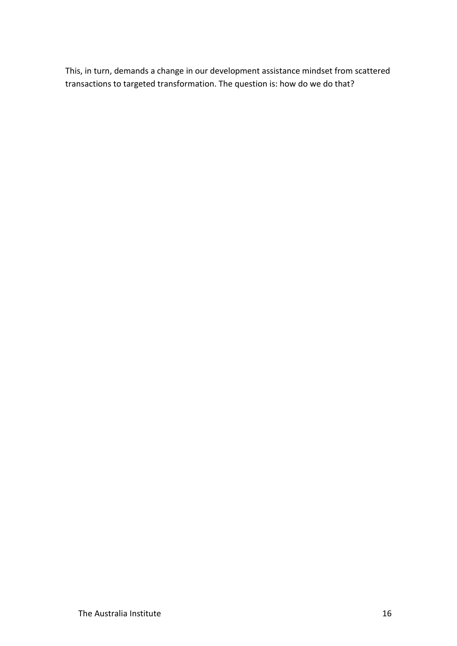This, in turn, demands a change in our development assistance mindset from scattered transactions to targeted transformation. The question is: how do we do that?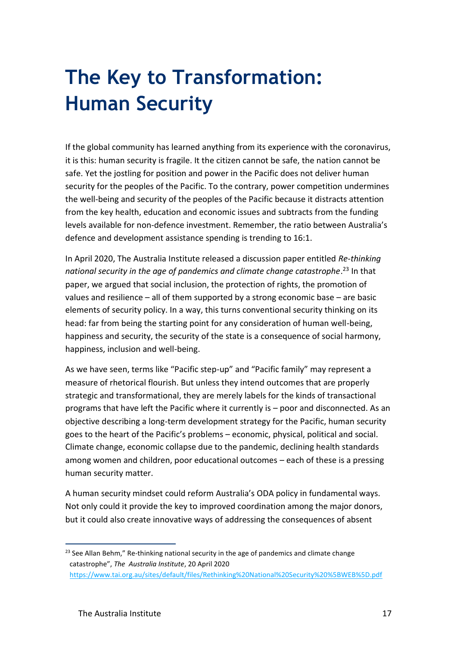# **The Key to Transformation: Human Security**

If the global community has learned anything from its experience with the coronavirus, it is this: human security is fragile. It the citizen cannot be safe, the nation cannot be safe. Yet the jostling for position and power in the Pacific does not deliver human security for the peoples of the Pacific. To the contrary, power competition undermines the well-being and security of the peoples of the Pacific because it distracts attention from the key health, education and economic issues and subtracts from the funding levels available for non-defence investment. Remember, the ratio between Australia's defence and development assistance spending is trending to 16:1.

In April 2020, The Australia Institute released a discussion paper entitled *Re-thinking*  national security in the age of pandemics and climate change catastrophe.<sup>23</sup> In that paper, we argued that social inclusion, the protection of rights, the promotion of values and resilience – all of them supported by a strong economic base – are basic elements of security policy. In a way, this turns conventional security thinking on its head: far from being the starting point for any consideration of human well-being, happiness and security, the security of the state is a consequence of social harmony, happiness, inclusion and well-being.

As we have seen, terms like "Pacific step-up" and "Pacific family" may represent a measure of rhetorical flourish. But unless they intend outcomes that are properly strategic and transformational, they are merely labels for the kinds of transactional programs that have left the Pacific where it currently is – poor and disconnected. As an objective describing a long-term development strategy for the Pacific, human security goes to the heart of the Pacific's problems – economic, physical, political and social. Climate change, economic collapse due to the pandemic, declining health standards among women and children, poor educational outcomes – each of these is a pressing human security matter.

A human security mindset could reform Australia's ODA policy in fundamental ways. Not only could it provide the key to improved coordination among the major donors, but it could also create innovative ways of addressing the consequences of absent

 $^{23}$  See Allan Behm." Re-thinking national security in the age of pandemics and climate change catastrophe", *The Australia Institute*, 20 April 2020 <https://www.tai.org.au/sites/default/files/Rethinking%20National%20Security%20%5BWEB%5D.pdf>